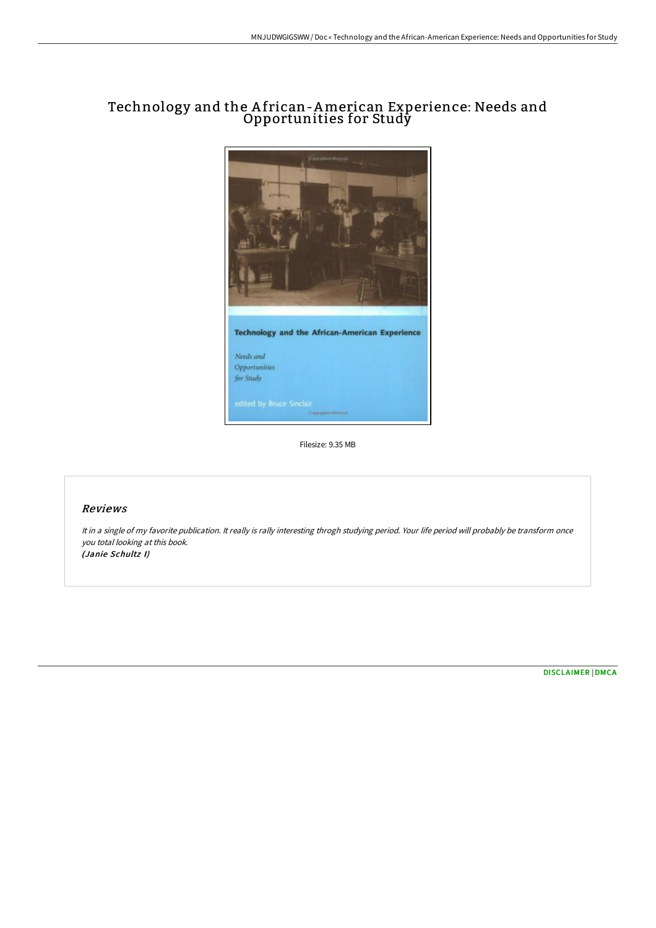# Technology and the A frican-American Experience: Needs and Opportunities for Study



Filesize: 9.35 MB

## Reviews

It in <sup>a</sup> single of my favorite publication. It really is rally interesting throgh studying period. Your life period will probably be transform once you total looking at this book. (Janie Schultz I)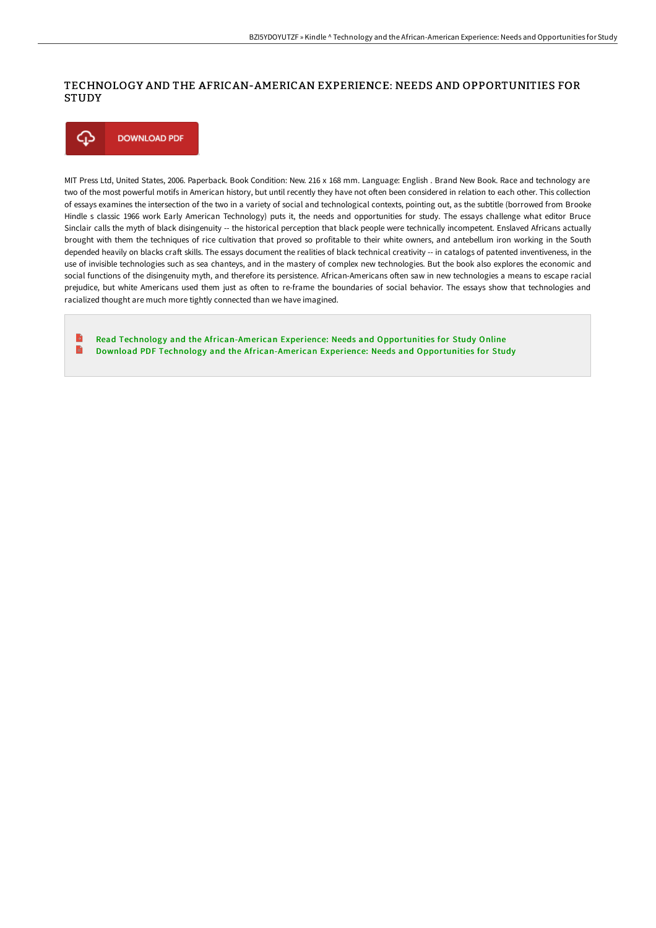# TECHNOLOGY AND THE AFRICAN-AMERICAN EXPERIENCE: NEEDS AND OPPORTUNITIES FOR **STUDY**



MIT Press Ltd, United States, 2006. Paperback. Book Condition: New. 216 x 168 mm. Language: English . Brand New Book. Race and technology are two of the most powerful motifs in American history, but until recently they have not often been considered in relation to each other. This collection of essays examines the intersection of the two in a variety of social and technological contexts, pointing out, as the subtitle (borrowed from Brooke Hindle s classic 1966 work Early American Technology) puts it, the needs and opportunities for study. The essays challenge what editor Bruce Sinclair calls the myth of black disingenuity -- the historical perception that black people were technically incompetent. Enslaved Africans actually brought with them the techniques of rice cultivation that proved so profitable to their white owners, and antebellum iron working in the South depended heavily on blacks craft skills. The essays document the realities of black technical creativity -- in catalogs of patented inventiveness, in the use of invisible technologies such as sea chanteys, and in the mastery of complex new technologies. But the book also explores the economic and social functions of the disingenuity myth, and therefore its persistence. African-Americans often saw in new technologies a means to escape racial prejudice, but white Americans used them just as often to re-frame the boundaries of social behavior. The essays show that technologies and racialized thought are much more tightly connected than we have imagined.

B Read Technology and the [African-American](http://albedo.media/technology-and-the-african-american-experience-n.html) Experience: Needs and Opportunities for Study Online B Download PDF Technology and the [African-American](http://albedo.media/technology-and-the-african-american-experience-n.html) Experience: Needs and Opportunities for Study